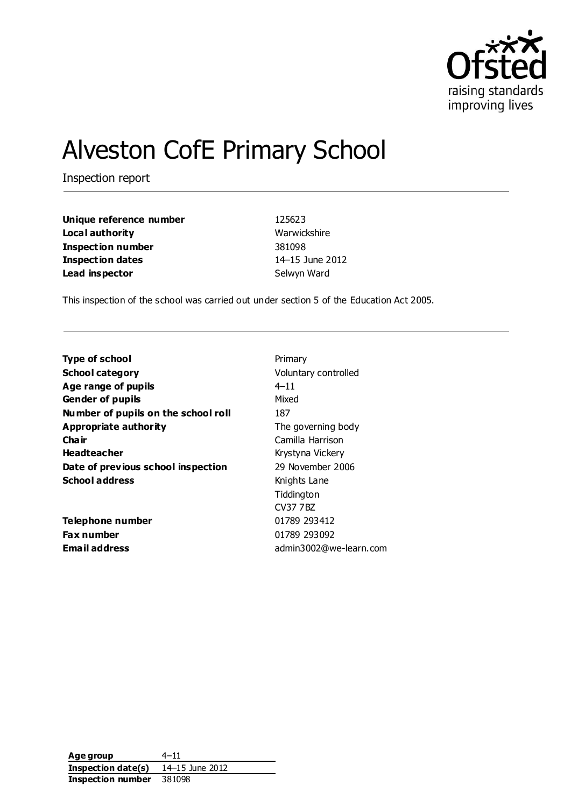

# Alveston CofE Primary School

Inspection report

| Unique reference number  |  |  |  |
|--------------------------|--|--|--|
| Local authority          |  |  |  |
| <b>Inspection number</b> |  |  |  |
| <b>Inspection dates</b>  |  |  |  |
| Lead inspector           |  |  |  |

**Unique reference number** 125623 **Warwickshire Inspection number** 381098 **Inspection dates** 14–15 June 2012 **Selwyn Ward** 

This inspection of the school was carried out under section 5 of the Education Act 2005.

| <b>Type of school</b>               | Primary                |  |
|-------------------------------------|------------------------|--|
| <b>School category</b>              | Voluntary controlled   |  |
| Age range of pupils                 | $4 - 11$               |  |
| <b>Gender of pupils</b>             | Mixed                  |  |
| Number of pupils on the school roll | 187                    |  |
| Appropriate authority               | The governing body     |  |
| Cha ir                              | Camilla Harrison       |  |
| <b>Headteacher</b>                  | Krystyna Vickery       |  |
| Date of previous school inspection  | 29 November 2006       |  |
| <b>School address</b>               | Knights Lane           |  |
|                                     | Tiddington             |  |
|                                     | <b>CV37 7BZ</b>        |  |
| Telephone number                    | 01789 293412           |  |
| <b>Fax number</b>                   | 01789 293092           |  |
| <b>Email address</b>                | admin3002@we-learn.com |  |

**Age group** 4–11 **Inspection date(s)** 14–15 June 2012 **Inspection number** 381098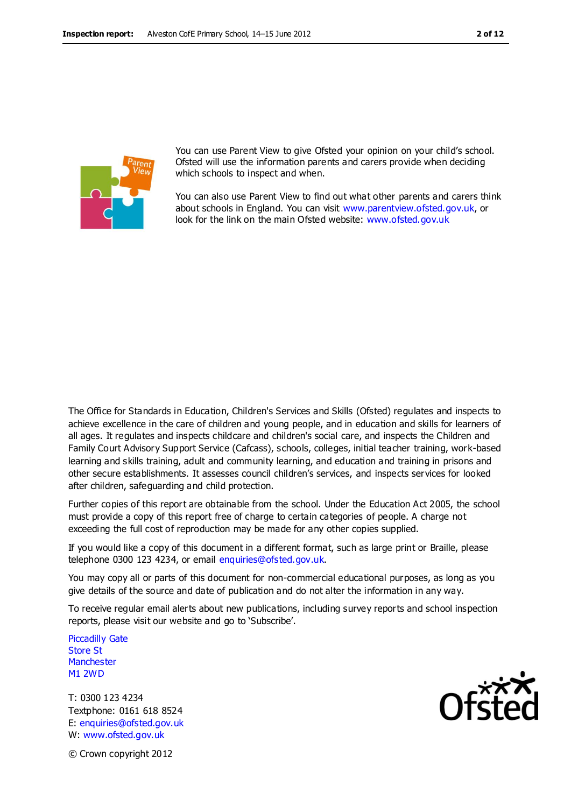

You can use Parent View to give Ofsted your opinion on your child's school. Ofsted will use the information parents and carers provide when deciding which schools to inspect and when.

You can also use Parent View to find out what other parents and carers think about schools in England. You can visit [www.parentview.ofsted.gov.uk,](http://www.parentview.ofsted.gov.uk/) or look for the link on the main Ofsted website: [www.ofsted.gov.uk](http://www.ofsted.gov.uk/)

The Office for Standards in Education, Children's Services and Skills (Ofsted) regulates and inspects to achieve excellence in the care of children and young people, and in education and skills for learners of all ages. It regulates and inspects childcare and children's social care, and inspects the Children and Family Court Advisory Support Service (Cafcass), schools, colleges, initial teacher training, work-based learning and skills training, adult and community learning, and education and training in prisons and other secure establishments. It assesses council children's services, and inspects services for looked after children, safeguarding and child protection.

Further copies of this report are obtainable from the school. Under the Education Act 2005, the school must provide a copy of this report free of charge to certain categories of people. A charge not exceeding the full cost of reproduction may be made for any other copies supplied.

If you would like a copy of this document in a different format, such as large print or Braille, please telephone 0300 123 4234, or email enquiries@ofsted.gov.uk.

You may copy all or parts of this document for non-commercial educational purposes, as long as you give details of the source and date of publication and do not alter the information in any way.

To receive regular email alerts about new publications, including survey reports and school inspection reports, please visit our website and go to 'Subscribe'.

Piccadilly Gate Store St **Manchester** M1 2WD

T: 0300 123 4234 Textphone: 0161 618 8524 E: enquiries@ofsted.gov.uk W: www.ofsted.gov.uk



© Crown copyright 2012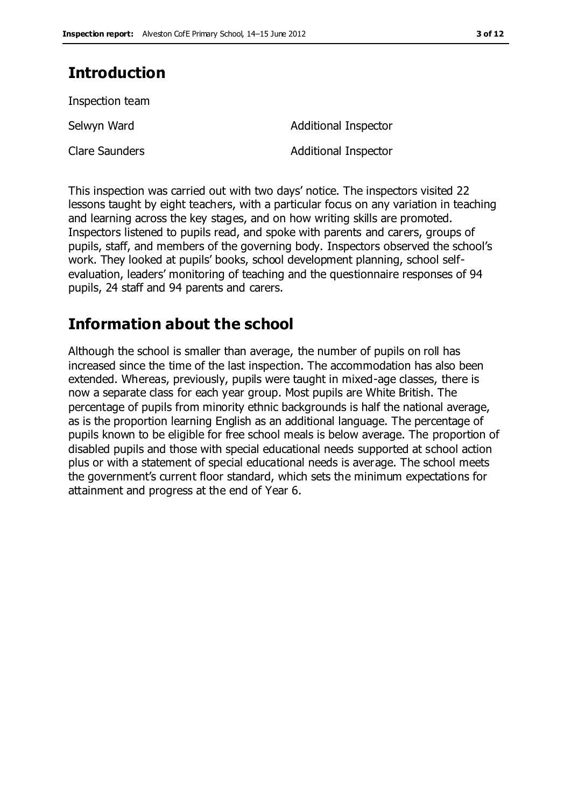# **Introduction**

Inspection team

Selwyn Ward **Additional Inspector** Clare Saunders **Additional Inspector** 

This inspection was carried out with two days' notice. The inspectors visited 22 lessons taught by eight teachers, with a particular focus on any variation in teaching and learning across the key stages, and on how writing skills are promoted. Inspectors listened to pupils read, and spoke with parents and carers, groups of pupils, staff, and members of the governing body. Inspectors observed the school's work. They looked at pupils' books, school development planning, school selfevaluation, leaders' monitoring of teaching and the questionnaire responses of 94 pupils, 24 staff and 94 parents and carers.

# **Information about the school**

Although the school is smaller than average, the number of pupils on roll has increased since the time of the last inspection. The accommodation has also been extended. Whereas, previously, pupils were taught in mixed-age classes, there is now a separate class for each year group. Most pupils are White British. The percentage of pupils from minority ethnic backgrounds is half the national average, as is the proportion learning English as an additional language. The percentage of pupils known to be eligible for free school meals is below average. The proportion of disabled pupils and those with special educational needs supported at school action plus or with a statement of special educational needs is average. The school meets the government's current floor standard, which sets the minimum expectations for attainment and progress at the end of Year 6.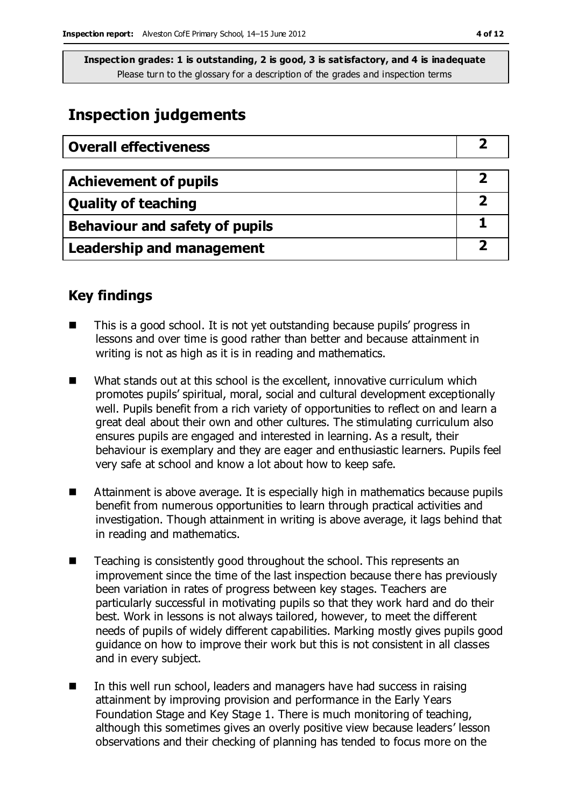## **Inspection judgements**

| <b>Overall effectiveness</b>     |  |
|----------------------------------|--|
|                                  |  |
| <b>Achievement of pupils</b>     |  |
| <b>Quality of teaching</b>       |  |
| Behaviour and safety of pupils   |  |
| <b>Leadership and management</b> |  |

### **Key findings**

- This is a good school. It is not yet outstanding because pupils' progress in lessons and over time is good rather than better and because attainment in writing is not as high as it is in reading and mathematics.
- What stands out at this school is the excellent, innovative curriculum which promotes pupils' spiritual, moral, social and cultural development exceptionally well. Pupils benefit from a rich variety of opportunities to reflect on and learn a great deal about their own and other cultures. The stimulating curriculum also ensures pupils are engaged and interested in learning. As a result, their behaviour is exemplary and they are eager and enthusiastic learners. Pupils feel very safe at school and know a lot about how to keep safe.
- Attainment is above average. It is especially high in mathematics because pupils benefit from numerous opportunities to learn through practical activities and investigation. Though attainment in writing is above average, it lags behind that in reading and mathematics.
- $\blacksquare$  Teaching is consistently good throughout the school. This represents an improvement since the time of the last inspection because there has previously been variation in rates of progress between key stages. Teachers are particularly successful in motivating pupils so that they work hard and do their best. Work in lessons is not always tailored, however, to meet the different needs of pupils of widely different capabilities. Marking mostly gives pupils good guidance on how to improve their work but this is not consistent in all classes and in every subject.
- $\blacksquare$  In this well run school, leaders and managers have had success in raising attainment by improving provision and performance in the Early Years Foundation Stage and Key Stage 1. There is much monitoring of teaching, although this sometimes gives an overly positive view because leaders' lesson observations and their checking of planning has tended to focus more on the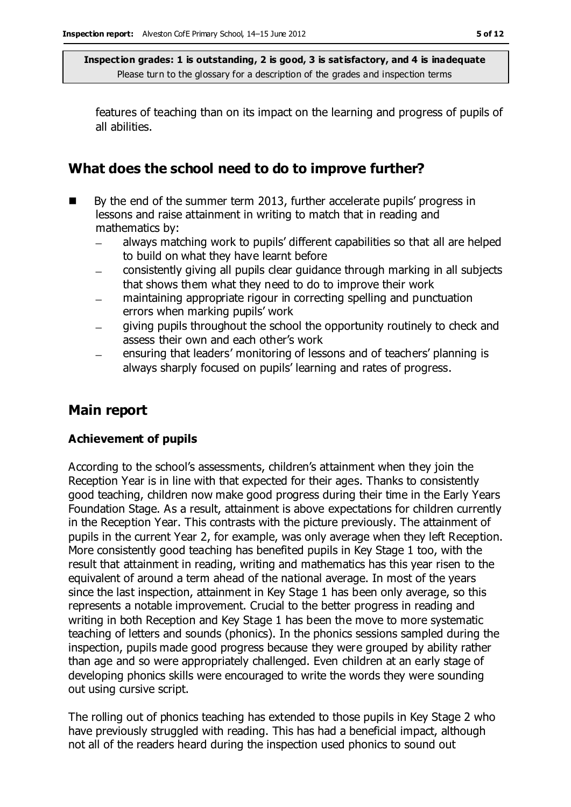features of teaching than on its impact on the learning and progress of pupils of all abilities.

## **What does the school need to do to improve further?**

- By the end of the summer term 2013, further accelerate pupils' progress in lessons and raise attainment in writing to match that in reading and mathematics by:
	- always matching work to pupils' different capabilities so that all are helped to build on what they have learnt before
	- consistently giving all pupils clear guidance through marking in all subjects that shows them what they need to do to improve their work
	- maintaining appropriate rigour in correcting spelling and punctuation errors when marking pupils' work
	- giving pupils throughout the school the opportunity routinely to check and assess their own and each other's work
	- ensuring that leaders' monitoring of lessons and of teachers' planning is always sharply focused on pupils' learning and rates of progress.

### **Main report**

### **Achievement of pupils**

According to the school's assessments, children's attainment when they join the Reception Year is in line with that expected for their ages. Thanks to consistently good teaching, children now make good progress during their time in the Early Years Foundation Stage. As a result, attainment is above expectations for children currently in the Reception Year. This contrasts with the picture previously. The attainment of pupils in the current Year 2, for example, was only average when they left Reception. More consistently good teaching has benefited pupils in Key Stage 1 too, with the result that attainment in reading, writing and mathematics has this year risen to the equivalent of around a term ahead of the national average. In most of the years since the last inspection, attainment in Key Stage 1 has been only average, so this represents a notable improvement. Crucial to the better progress in reading and writing in both Reception and Key Stage 1 has been the move to more systematic teaching of letters and sounds (phonics). In the phonics sessions sampled during the inspection, pupils made good progress because they were grouped by ability rather than age and so were appropriately challenged. Even children at an early stage of developing phonics skills were encouraged to write the words they were sounding out using cursive script.

The rolling out of phonics teaching has extended to those pupils in Key Stage 2 who have previously struggled with reading. This has had a beneficial impact, although not all of the readers heard during the inspection used phonics to sound out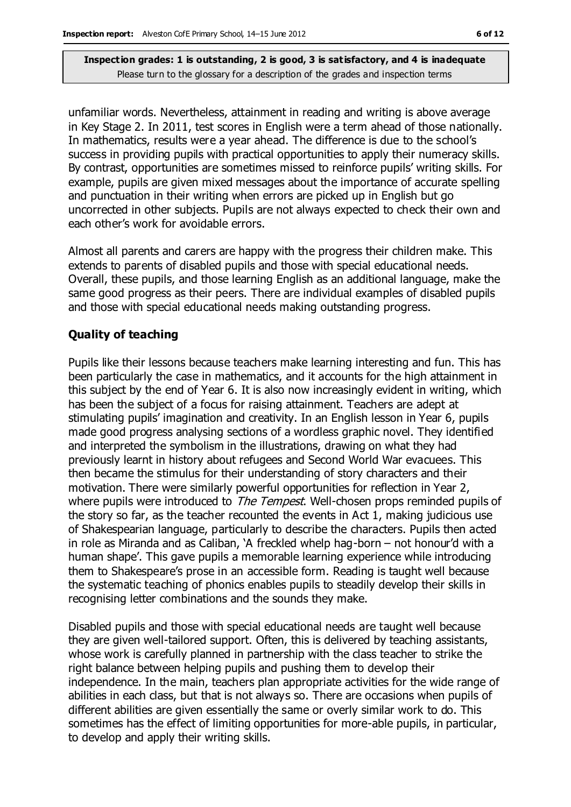unfamiliar words. Nevertheless, attainment in reading and writing is above average in Key Stage 2. In 2011, test scores in English were a term ahead of those nationally. In mathematics, results were a year ahead. The difference is due to the school's success in providing pupils with practical opportunities to apply their numeracy skills. By contrast, opportunities are sometimes missed to reinforce pupils' writing skills. For example, pupils are given mixed messages about the importance of accurate spelling and punctuation in their writing when errors are picked up in English but go uncorrected in other subjects. Pupils are not always expected to check their own and each other's work for avoidable errors.

Almost all parents and carers are happy with the progress their children make. This extends to parents of disabled pupils and those with special educational needs. Overall, these pupils, and those learning English as an additional language, make the same good progress as their peers. There are individual examples of disabled pupils and those with special educational needs making outstanding progress.

#### **Quality of teaching**

Pupils like their lessons because teachers make learning interesting and fun. This has been particularly the case in mathematics, and it accounts for the high attainment in this subject by the end of Year 6. It is also now increasingly evident in writing, which has been the subject of a focus for raising attainment. Teachers are adept at stimulating pupils' imagination and creativity. In an English lesson in Year 6, pupils made good progress analysing sections of a wordless graphic novel. They identified and interpreted the symbolism in the illustrations, drawing on what they had previously learnt in history about refugees and Second World War evacuees. This then became the stimulus for their understanding of story characters and their motivation. There were similarly powerful opportunities for reflection in Year 2, where pupils were introduced to *The Tempest*. Well-chosen props reminded pupils of the story so far, as the teacher recounted the events in Act 1, making judicious use of Shakespearian language, particularly to describe the characters. Pupils then acted in role as Miranda and as Caliban, 'A freckled whelp hag-born – not honour'd with a human shape'. This gave pupils a memorable learning experience while introducing them to Shakespeare's prose in an accessible form. Reading is taught well because the systematic teaching of phonics enables pupils to steadily develop their skills in recognising letter combinations and the sounds they make.

Disabled pupils and those with special educational needs are taught well because they are given well-tailored support. Often, this is delivered by teaching assistants, whose work is carefully planned in partnership with the class teacher to strike the right balance between helping pupils and pushing them to develop their independence. In the main, teachers plan appropriate activities for the wide range of abilities in each class, but that is not always so. There are occasions when pupils of different abilities are given essentially the same or overly similar work to do. This sometimes has the effect of limiting opportunities for more-able pupils, in particular, to develop and apply their writing skills.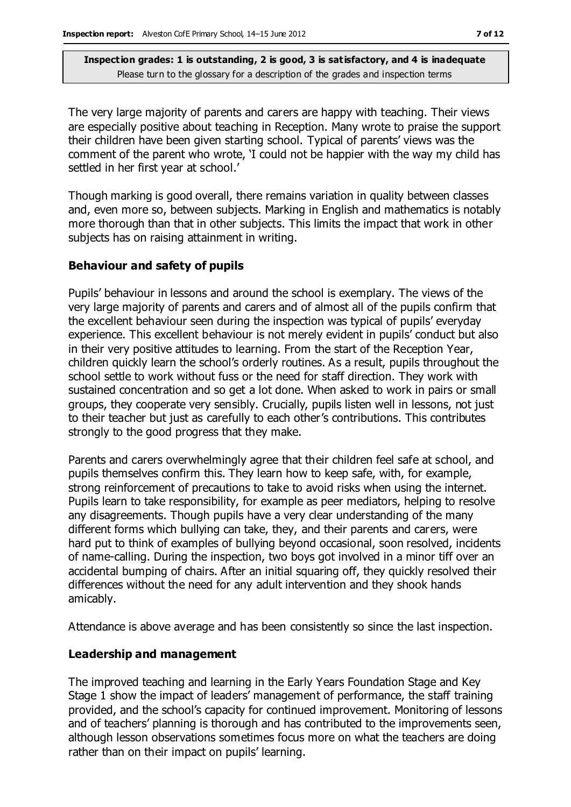The very large majority of parents and carers are happy with teaching. Their views are especially positive about teaching in Reception. Many wrote to praise the support their children have been given starting school. Typical of parents' views was the comment of the parent who wrote, 'I could not be happier with the way my child has settled in her first year at school.'

Though marking is good overall, there remains variation in quality between classes and, even more so, between subjects. Marking in English and mathematics is notably more thorough than that in other subjects. This limits the impact that work in other subjects has on raising attainment in writing.

#### **Behaviour and safety of pupils**

Pupils' behaviour in lessons and around the school is exemplary. The views of the very large majority of parents and carers and of almost all of the pupils confirm that the excellent behaviour seen during the inspection was typical of pupils' everyday experience. This excellent behaviour is not merely evident in pupils' conduct but also in their very positive attitudes to learning. From the start of the Reception Year, children quickly learn the school's orderly routines. As a result, pupils throughout the school settle to work without fuss or the need for staff direction. They work with sustained concentration and so get a lot done. When asked to work in pairs or small groups, they cooperate very sensibly. Crucially, pupils listen well in lessons, not just to their teacher but just as carefully to each other's contributions. This contributes strongly to the good progress that they make.

Parents and carers overwhelmingly agree that their children feel safe at school, and pupils themselves confirm this. They learn how to keep safe, with, for example, strong reinforcement of precautions to take to avoid risks when using the internet. Pupils learn to take responsibility, for example as peer mediators, helping to resolve any disagreements. Though pupils have a very clear understanding of the many different forms which bullying can take, they, and their parents and carers, were hard put to think of examples of bullying beyond occasional, soon resolved, incidents of name-calling. During the inspection, two boys got involved in a minor tiff over an accidental bumping of chairs. After an initial squaring off, they quickly resolved their differences without the need for any adult intervention and they shook hands amicably.

Attendance is above average and has been consistently so since the last inspection.

#### **Leadership and management**

The improved teaching and learning in the Early Years Foundation Stage and Key Stage 1 show the impact of leaders' management of performance, the staff training provided, and the school's capacity for continued improvement. Monitoring of lessons and of teachers' planning is thorough and has contributed to the improvements seen, although lesson observations sometimes focus more on what the teachers are doing rather than on their impact on pupils' learning.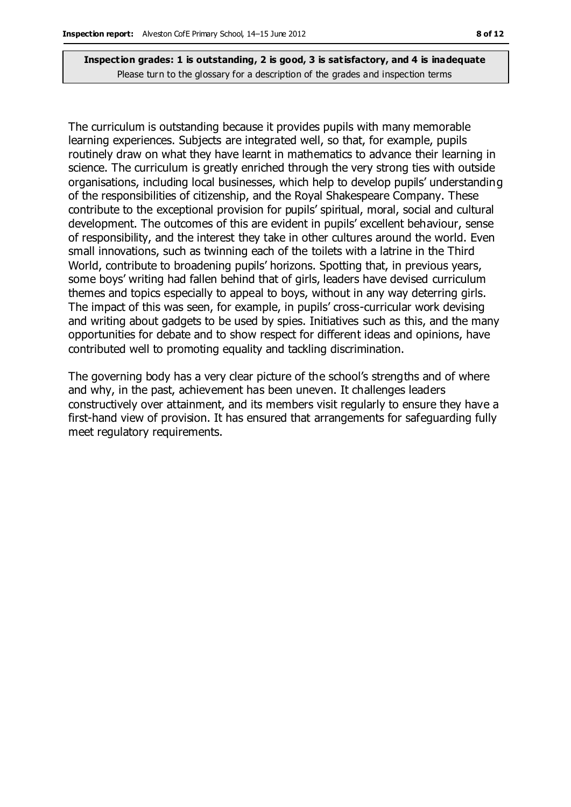The curriculum is outstanding because it provides pupils with many memorable learning experiences. Subjects are integrated well, so that, for example, pupils routinely draw on what they have learnt in mathematics to advance their learning in science. The curriculum is greatly enriched through the very strong ties with outside organisations, including local businesses, which help to develop pupils' understanding of the responsibilities of citizenship, and the Royal Shakespeare Company. These contribute to the exceptional provision for pupils' spiritual, moral, social and cultural development. The outcomes of this are evident in pupils' excellent behaviour, sense of responsibility, and the interest they take in other cultures around the world. Even small innovations, such as twinning each of the toilets with a latrine in the Third World, contribute to broadening pupils' horizons. Spotting that, in previous years, some boys' writing had fallen behind that of girls, leaders have devised curriculum themes and topics especially to appeal to boys, without in any way deterring girls. The impact of this was seen, for example, in pupils' cross-curricular work devising and writing about gadgets to be used by spies. Initiatives such as this, and the many opportunities for debate and to show respect for different ideas and opinions, have contributed well to promoting equality and tackling discrimination.

The governing body has a very clear picture of the school's strengths and of where and why, in the past, achievement has been uneven. It challenges leaders constructively over attainment, and its members visit regularly to ensure they have a first-hand view of provision. It has ensured that arrangements for safeguarding fully meet regulatory requirements.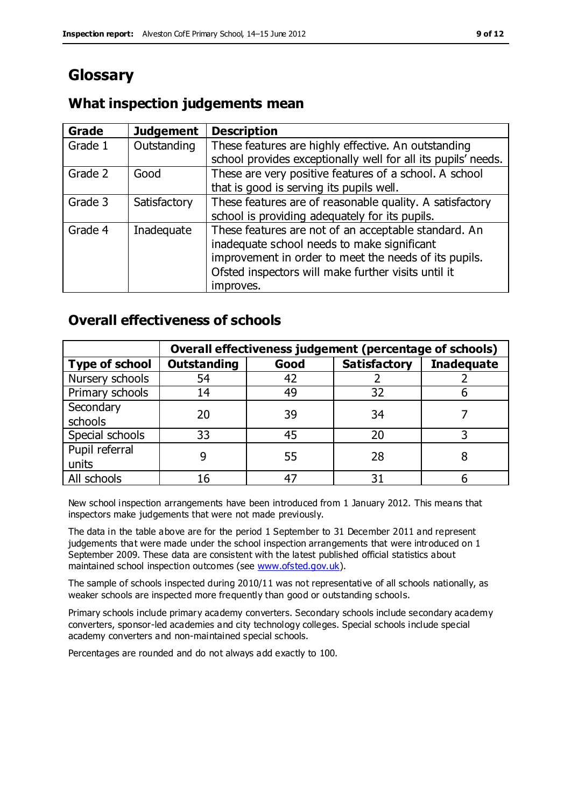# **Glossary**

#### **Grade Judgement Description** Grade  $1$  | Outstanding | These features are highly effective. An outstanding school provides exceptionally well for all its pupils' needs. Grade 2 Good These are very positive features of a school. A school that is good is serving its pupils well. Grade 3  $\parallel$  Satisfactory  $\parallel$  These features are of reasonable quality. A satisfactory school is providing adequately for its pupils. Grade 4  $\parallel$  Inadequate  $\parallel$  These features are not of an acceptable standard. An inadequate school needs to make significant improvement in order to meet the needs of its pupils. Ofsted inspectors will make further visits until it improves.

### **What inspection judgements mean**

### **Overall effectiveness of schools**

|                       |                    |      | Overall effectiveness judgement (percentage of schools) |                   |
|-----------------------|--------------------|------|---------------------------------------------------------|-------------------|
| <b>Type of school</b> | <b>Outstanding</b> | Good | <b>Satisfactory</b>                                     | <b>Inadequate</b> |
| Nursery schools       | 54                 | 42   |                                                         |                   |
| Primary schools       | 14                 | 49   | 32                                                      |                   |
| Secondary             | 20                 | 39   | 34                                                      |                   |
| schools               |                    |      |                                                         |                   |
| Special schools       | 33                 | 45   | 20                                                      |                   |
| Pupil referral        |                    | 55   | 28                                                      |                   |
| units                 |                    |      |                                                         |                   |
| All schools           | 16                 | 47   | م -                                                     |                   |

New school inspection arrangements have been introduced from 1 January 2012. This means that inspectors make judgements that were not made previously.

The data in the table above are for the period 1 September to 31 December 2011 and represent judgements that were made under the school inspection arrangements that were introduced on 1 September 2009. These data are consistent with the latest published official statistics about maintained school inspection outcomes (see [www.ofsted.gov.uk\)](http://www.ofsted.gov.uk/).

The sample of schools inspected during 2010/11 was not representative of all schools nationally, as weaker schools are inspected more frequently than good or outstanding schools.

Primary schools include primary academy converters. Secondary schools include secondary academy converters, sponsor-led academies and city technology colleges. Special schools include special academy converters and non-maintained special schools.

Percentages are rounded and do not always add exactly to 100.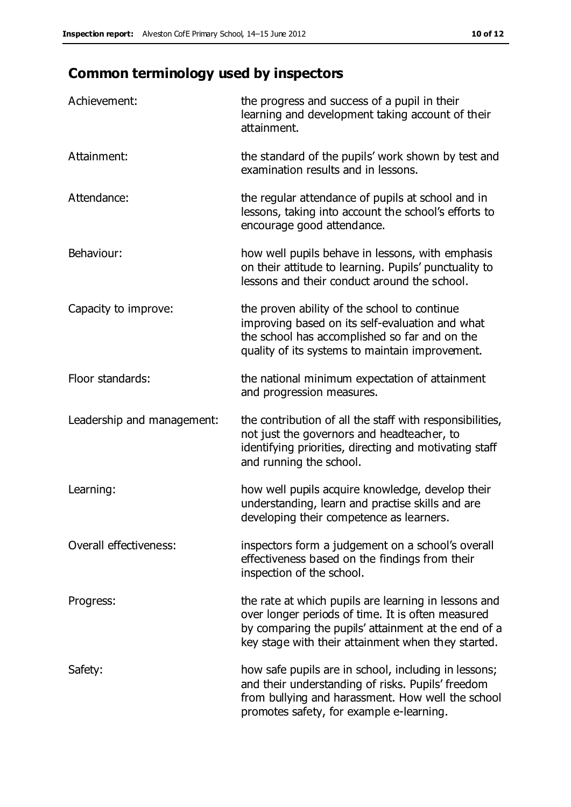# **Common terminology used by inspectors**

| Achievement:                  | the progress and success of a pupil in their<br>learning and development taking account of their<br>attainment.                                                                                                        |
|-------------------------------|------------------------------------------------------------------------------------------------------------------------------------------------------------------------------------------------------------------------|
| Attainment:                   | the standard of the pupils' work shown by test and<br>examination results and in lessons.                                                                                                                              |
| Attendance:                   | the regular attendance of pupils at school and in<br>lessons, taking into account the school's efforts to<br>encourage good attendance.                                                                                |
| Behaviour:                    | how well pupils behave in lessons, with emphasis<br>on their attitude to learning. Pupils' punctuality to<br>lessons and their conduct around the school.                                                              |
| Capacity to improve:          | the proven ability of the school to continue<br>improving based on its self-evaluation and what<br>the school has accomplished so far and on the<br>quality of its systems to maintain improvement.                    |
| Floor standards:              | the national minimum expectation of attainment<br>and progression measures.                                                                                                                                            |
| Leadership and management:    | the contribution of all the staff with responsibilities,<br>not just the governors and headteacher, to<br>identifying priorities, directing and motivating staff<br>and running the school.                            |
| Learning:                     | how well pupils acquire knowledge, develop their<br>understanding, learn and practise skills and are<br>developing their competence as learners.                                                                       |
| <b>Overall effectiveness:</b> | inspectors form a judgement on a school's overall<br>effectiveness based on the findings from their<br>inspection of the school.                                                                                       |
| Progress:                     | the rate at which pupils are learning in lessons and<br>over longer periods of time. It is often measured<br>by comparing the pupils' attainment at the end of a<br>key stage with their attainment when they started. |
| Safety:                       | how safe pupils are in school, including in lessons;<br>and their understanding of risks. Pupils' freedom<br>from bullying and harassment. How well the school<br>promotes safety, for example e-learning.             |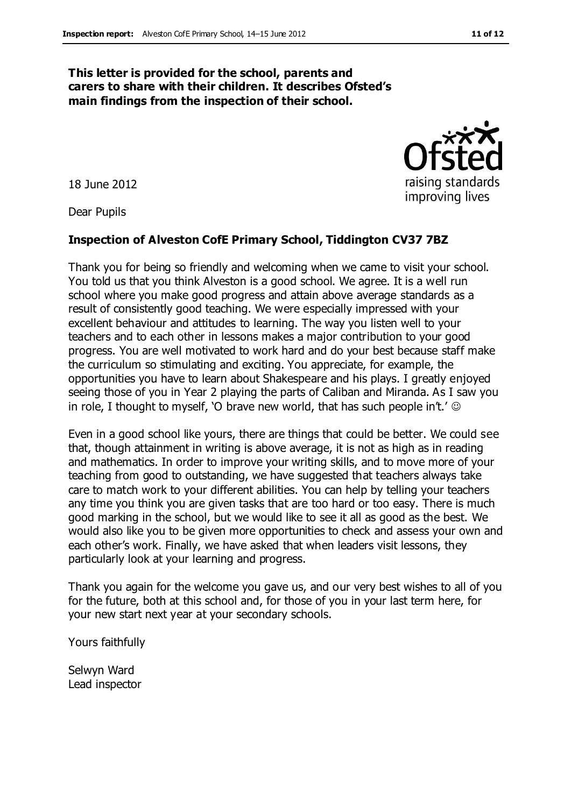#### **This letter is provided for the school, parents and carers to share with their children. It describes Ofsted's main findings from the inspection of their school.**

18 June 2012

Dear Pupils

#### **Inspection of Alveston CofE Primary School, Tiddington CV37 7BZ**

Thank you for being so friendly and welcoming when we came to visit your school. You told us that you think Alveston is a good school. We agree. It is a well run school where you make good progress and attain above average standards as a result of consistently good teaching. We were especially impressed with your excellent behaviour and attitudes to learning. The way you listen well to your teachers and to each other in lessons makes a major contribution to your good progress. You are well motivated to work hard and do your best because staff make the curriculum so stimulating and exciting. You appreciate, for example, the opportunities you have to learn about Shakespeare and his plays. I greatly enjoyed seeing those of you in Year 2 playing the parts of Caliban and Miranda. As I saw you in role, I thought to myself, 'O brave new world, that has such people in't.'  $\odot$ 

Even in a good school like yours, there are things that could be better. We could see that, though attainment in writing is above average, it is not as high as in reading and mathematics. In order to improve your writing skills, and to move more of your teaching from good to outstanding, we have suggested that teachers always take care to match work to your different abilities. You can help by telling your teachers any time you think you are given tasks that are too hard or too easy. There is much good marking in the school, but we would like to see it all as good as the best. We would also like you to be given more opportunities to check and assess your own and each other's work. Finally, we have asked that when leaders visit lessons, they particularly look at your learning and progress.

Thank you again for the welcome you gave us, and our very best wishes to all of you for the future, both at this school and, for those of you in your last term here, for your new start next year at your secondary schools.

Yours faithfully

Selwyn Ward Lead inspector